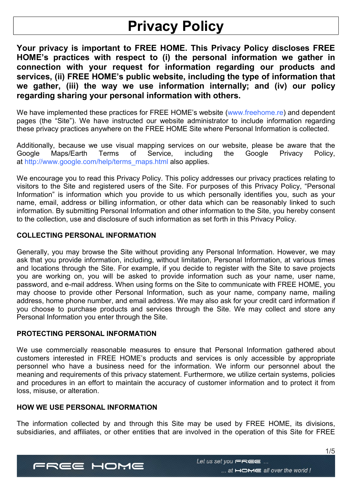# Privacy Policy

Your privacy is important to FREE HOME. This Privacy Policy discloses FREE HOME's practices with respect to (i) the personal information we gather in connection with your request for information regarding our products and services, (ii) FREE HOME's public website, including the type of information that we gather, (iii) the way we use information internally; and (iv) our policy regarding sharing your personal information with others.

We have implemented these practices for FREE HOME's website (www.freehome.re) and dependent pages (the "Site"). We have instructed our website administrator to include information regarding these privacy practices anywhere on the FREE HOME Site where Personal Information is collected.

Additionally, because we use visual mapping services on our website, please be aware that the Google Maps/Earth Terms of Service, including the Google Privacy Policy, at http://www.google.com/help/terms\_maps.html also applies.

We encourage you to read this Privacy Policy. This policy addresses our privacy practices relating to visitors to the Site and registered users of the Site. For purposes of this Privacy Policy, "Personal Information" is information which you provide to us which personally identifies you, such as your name, email, address or billing information, or other data which can be reasonably linked to such information. By submitting Personal Information and other information to the Site, you hereby consent to the collection, use and disclosure of such information as set forth in this Privacy Policy.

# COLLECTING PERSONAL INFORMATION

Generally, you may browse the Site without providing any Personal Information. However, we may ask that you provide information, including, without limitation, Personal Information, at various times and locations through the Site. For example, if you decide to register with the Site to save projects you are working on, you will be asked to provide information such as your name, user name, password, and e-mail address. When using forms on the Site to communicate with FREE HOME, you may choose to provide other Personal Information, such as your name, company name, mailing address, home phone number, and email address. We may also ask for your credit card information if you choose to purchase products and services through the Site. We may collect and store any Personal Information you enter through the Site.

## PROTECTING PERSONAL INFORMATION

We use commercially reasonable measures to ensure that Personal Information gathered about customers interested in FREE HOME's products and services is only accessible by appropriate personnel who have a business need for the information. We inform our personnel about the meaning and requirements of this privacy statement. Furthermore, we utilize certain systems, policies and procedures in an effort to maintain the accuracy of customer information and to protect it from loss, misuse, or alteration.

# HOW WE USE PERSONAL INFORMATION

The information collected by and through this Site may be used by FREE HOME, its divisions, subsidiaries, and affiliates, or other entities that are involved in the operation of this Site for FREE

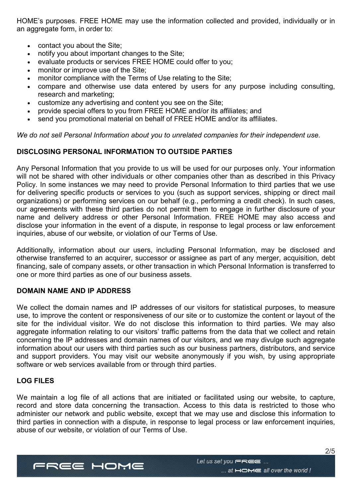HOME's purposes. FREE HOME may use the information collected and provided, individually or in an aggregate form, in order to:

- contact you about the Site;
- notify you about important changes to the Site;
- evaluate products or services FREE HOME could offer to you;
- monitor or improve use of the Site:
- monitor compliance with the Terms of Use relating to the Site;
- compare and otherwise use data entered by users for any purpose including consulting, research and marketing;
- customize any advertising and content you see on the Site;
- provide special offers to you from FREE HOME and/or its affiliates; and
- send you promotional material on behalf of FREE HOME and/or its affiliates.

We do not sell Personal Information about you to unrelated companies for their independent use.

# DISCLOSING PERSONAL INFORMATION TO OUTSIDE PARTIES

Any Personal Information that you provide to us will be used for our purposes only. Your information will not be shared with other individuals or other companies other than as described in this Privacy Policy. In some instances we may need to provide Personal Information to third parties that we use for delivering specific products or services to you (such as support services, shipping or direct mail organizations) or performing services on our behalf (e.g., performing a credit check). In such cases, our agreements with these third parties do not permit them to engage in further disclosure of your name and delivery address or other Personal Information. FREE HOME may also access and disclose your information in the event of a dispute, in response to legal process or law enforcement inquiries, abuse of our website, or violation of our Terms of Use.

Additionally, information about our users, including Personal Information, may be disclosed and otherwise transferred to an acquirer, successor or assignee as part of any merger, acquisition, debt financing, sale of company assets, or other transaction in which Personal Information is transferred to one or more third parties as one of our business assets.

# DOMAIN NAME AND IP ADDRESS

We collect the domain names and IP addresses of our visitors for statistical purposes, to measure use, to improve the content or responsiveness of our site or to customize the content or layout of the site for the individual visitor. We do not disclose this information to third parties. We may also aggregate information relating to our visitors' traffic patterns from the data that we collect and retain concerning the IP addresses and domain names of our visitors, and we may divulge such aggregate information about our users with third parties such as our business partners, distributors, and service and support providers. You may visit our website anonymously if you wish, by using appropriate software or web services available from or through third parties.

## LOG FILES

We maintain a log file of all actions that are initiated or facilitated using our website, to capture, record and store data concerning the transaction. Access to this data is restricted to those who administer our network and public website, except that we may use and disclose this information to third parties in connection with a dispute, in response to legal process or law enforcement inquiries, abuse of our website, or violation of our Terms of Use.

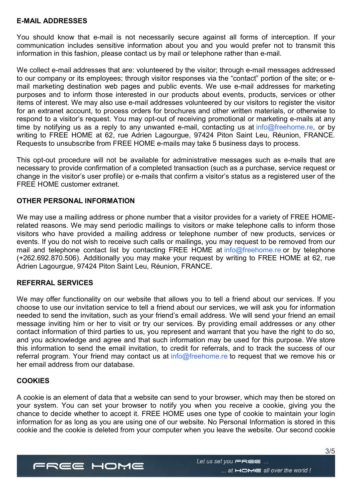#### E-MAIL ADDRESSES

You should know that e-mail is not necessarily secure against all forms of interception. If your communication includes sensitive information about you and you would prefer not to transmit this information in this fashion, please contact us by mail or telephone rather than e-mail.

We collect e-mail addresses that are: volunteered by the visitor; through e-mail messages addressed to our company or its employees; through visitor responses via the "contact" portion of the site; or email marketing destination web pages and public events. We use e-mail addresses for marketing purposes and to inform those interested in our products about events, products, services or other items of interest. We may also use e-mail addresses volunteered by our visitors to register the visitor for an extranet account, to process orders for brochures and other written materials, or otherwise to respond to a visitor's request. You may opt-out of receiving promotional or marketing e-mails at any time by notifying us as a reply to any unwanted e-mail, contacting us at info@freehome.re, or by writing to FREE HOME at 62, rue Adrien Lagourgue, 97424 Piton Saint Leu, Réunion, FRANCE. Requests to unsubscribe from FREE HOME e-mails may take 5 business days to process.

This opt-out procedure will not be available for administrative messages such as e-mails that are necessary to provide confirmation of a completed transaction (such as a purchase, service request or change in the visitor's user profile) or e-mails that confirm a visitor's status as a registered user of the FREE HOME customer extranet.

#### OTHER PERSONAL INFORMATION

We may use a mailing address or phone number that a visitor provides for a variety of FREE HOMErelated reasons. We may send periodic mailings to visitors or make telephone calls to inform those visitors who have provided a mailing address or telephone number of new products, services or events. If you do not wish to receive such calls or mailings, you may request to be removed from our mail and telephone contact list by contacting FREE HOME at info@freehome.re or by telephone (+262.692.870.506). Additionally you may make your request by writing to FREE HOME at 62, rue Adrien Lagourgue, 97424 Piton Saint Leu, Réunion, FRANCE.

#### REFERRAL SERVICES

We may offer functionality on our website that allows you to tell a friend about our services. If you choose to use our invitation service to tell a friend about our services, we will ask you for information needed to send the invitation, such as your friend's email address. We will send your friend an email message inviting him or her to visit or try our services. By providing email addresses or any other contact information of third parties to us, you represent and warrant that you have the right to do so, and you acknowledge and agree and that such information may be used for this purpose. We store this information to send the email invitation, to credit for referrals, and to track the success of our referral program. Your friend may contact us at info@freehome.re to request that we remove his or her email address from our database.

## **COOKIES**

A cookie is an element of data that a website can send to your browser, which may then be stored on your system. You can set your browser to notify you when you receive a cookie, giving you the chance to decide whether to accept it. FREE HOME uses one type of cookie to maintain your login information for as long as you are using one of our website. No Personal Information is stored in this cookie and the cookie is deleted from your computer when you leave the website. Our second cookie

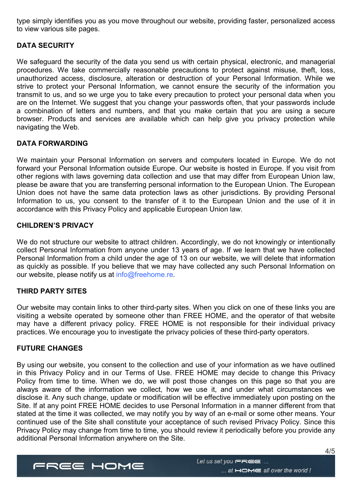type simply identifies you as you move throughout our website, providing faster, personalized access to view various site pages.

# DATA SECURITY

We safeguard the security of the data you send us with certain physical, electronic, and managerial procedures. We take commercially reasonable precautions to protect against misuse, theft, loss, unauthorized access, disclosure, alteration or destruction of your Personal Information. While we strive to protect your Personal Information, we cannot ensure the security of the information you transmit to us, and so we urge you to take every precaution to protect your personal data when you are on the Internet. We suggest that you change your passwords often, that your passwords include a combination of letters and numbers, and that you make certain that you are using a secure browser. Products and services are available which can help give you privacy protection while navigating the Web.

# DATA FORWARDING

We maintain your Personal Information on servers and computers located in Europe. We do not forward your Personal Information outside Europe. Our website is hosted in Europe. If you visit from other regions with laws governing data collection and use that may differ from European Union law, please be aware that you are transferring personal information to the European Union. The European Union does not have the same data protection laws as other jurisdictions. By providing Personal Information to us, you consent to the transfer of it to the European Union and the use of it in accordance with this Privacy Policy and applicable European Union law.

## CHILDREN'S PRIVACY

We do not structure our website to attract children. Accordingly, we do not knowingly or intentionally collect Personal Information from anyone under 13 years of age. If we learn that we have collected Personal Information from a child under the age of 13 on our website, we will delete that information as quickly as possible. If you believe that we may have collected any such Personal Information on our website, please notify us at info@freehome.re.

## THIRD PARTY SITES

Our website may contain links to other third-party sites. When you click on one of these links you are visiting a website operated by someone other than FREE HOME, and the operator of that website may have a different privacy policy. FREE HOME is not responsible for their individual privacy practices. We encourage you to investigate the privacy policies of these third-party operators.

# FUTURE CHANGES

By using our website, you consent to the collection and use of your information as we have outlined in this Privacy Policy and in our Terms of Use. FREE HOME may decide to change this Privacy Policy from time to time. When we do, we will post those changes on this page so that you are always aware of the information we collect, how we use it, and under what circumstances we disclose it. Any such change, update or modification will be effective immediately upon posting on the Site. If at any point FREE HOME decides to use Personal Information in a manner different from that stated at the time it was collected, we may notify you by way of an e-mail or some other means. Your continued use of the Site shall constitute your acceptance of such revised Privacy Policy. Since this Privacy Policy may change from time to time, you should review it periodically before you provide any additional Personal Information anywhere on the Site.